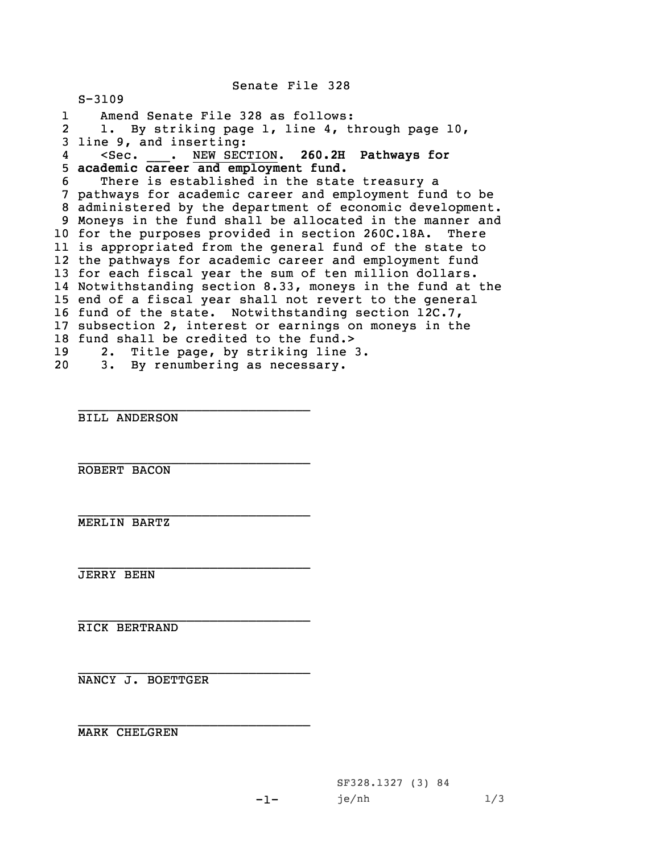Senate File 328

S-3109 1 Amend Senate File 328 as follows: 2 1. By striking page 1, line 4, through page 10, line 9, and inserting: 4 <Sec. \_\_\_. NEW SECTION. **260.2H Pathways for academic career and employment fund.** There is established in the state treasury <sup>a</sup> pathways for academic career and employment fund to be administered by the department of economic development. Moneys in the fund shall be allocated in the manner and for the purposes provided in section 260C.18A. There is appropriated from the general fund of the state to the pathways for academic career and employment fund for each fiscal year the sum of ten million dollars. Notwithstanding section 8.33, moneys in the fund at the end of <sup>a</sup> fiscal year shall not revert to the general fund of the state. Notwithstanding section 12C.7, subsection 2, interest or earnings on moneys in the 18 fund shall be credited to the fund.> 2. Title page, by striking line 3. 3. By renumbering as necessary.

BILL ANDERSON

\_\_\_\_\_\_\_\_\_\_\_\_\_\_\_\_\_\_\_\_\_\_\_\_\_\_\_\_\_\_

\_\_\_\_\_\_\_\_\_\_\_\_\_\_\_\_\_\_\_\_\_\_\_\_\_\_\_\_\_\_

\_\_\_\_\_\_\_\_\_\_\_\_\_\_\_\_\_\_\_\_\_\_\_\_\_\_\_\_\_\_

 $-1-$ 

\_\_\_\_\_\_\_\_\_\_\_\_\_\_\_\_\_\_\_\_\_\_\_\_\_\_\_\_\_\_ ROBERT BACON

\_\_\_\_\_\_\_\_\_\_\_\_\_\_\_\_\_\_\_\_\_\_\_\_\_\_\_\_\_\_ MERLIN BARTZ

\_\_\_\_\_\_\_\_\_\_\_\_\_\_\_\_\_\_\_\_\_\_\_\_\_\_\_\_\_\_ JERRY BEHN

RICK BERTRAND

\_\_\_\_\_\_\_\_\_\_\_\_\_\_\_\_\_\_\_\_\_\_\_\_\_\_\_\_\_\_ NANCY J. BOETTGER

MARK CHELGREN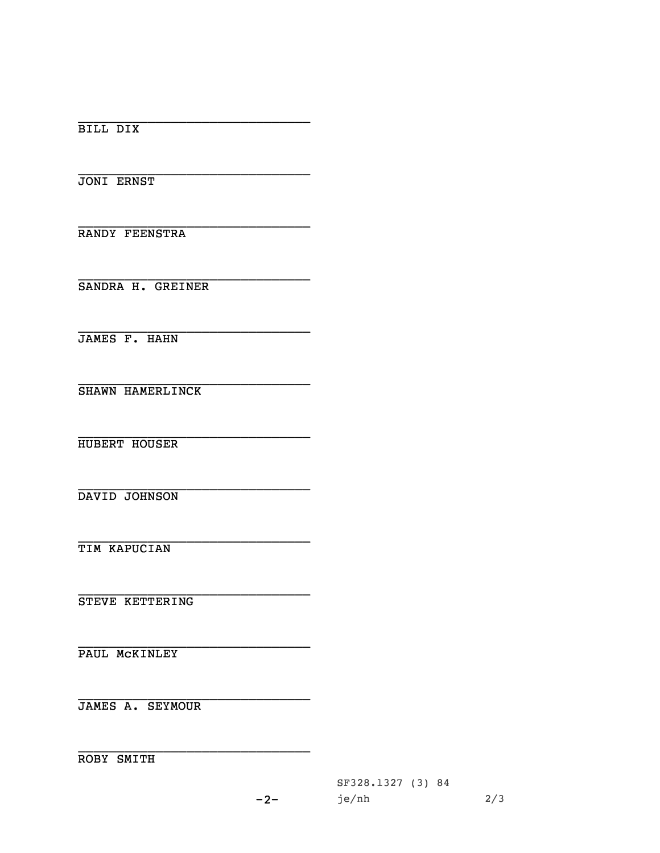BILL DIX

JONI ERNST

RANDY FEENSTRA

SANDRA H. GREINER

JAMES F. HAHN

SHAWN HAMERLINCK

HUBERT HOUSER

DAVID JOHNSON

TIM KAPUCIAN

STEVE KETTERING

PAUL MCKINLEY

**JAMES A. SEYMOUR** 

ROBY SMITH

SF328.1327 (3) 84 je/nh  $2/3$